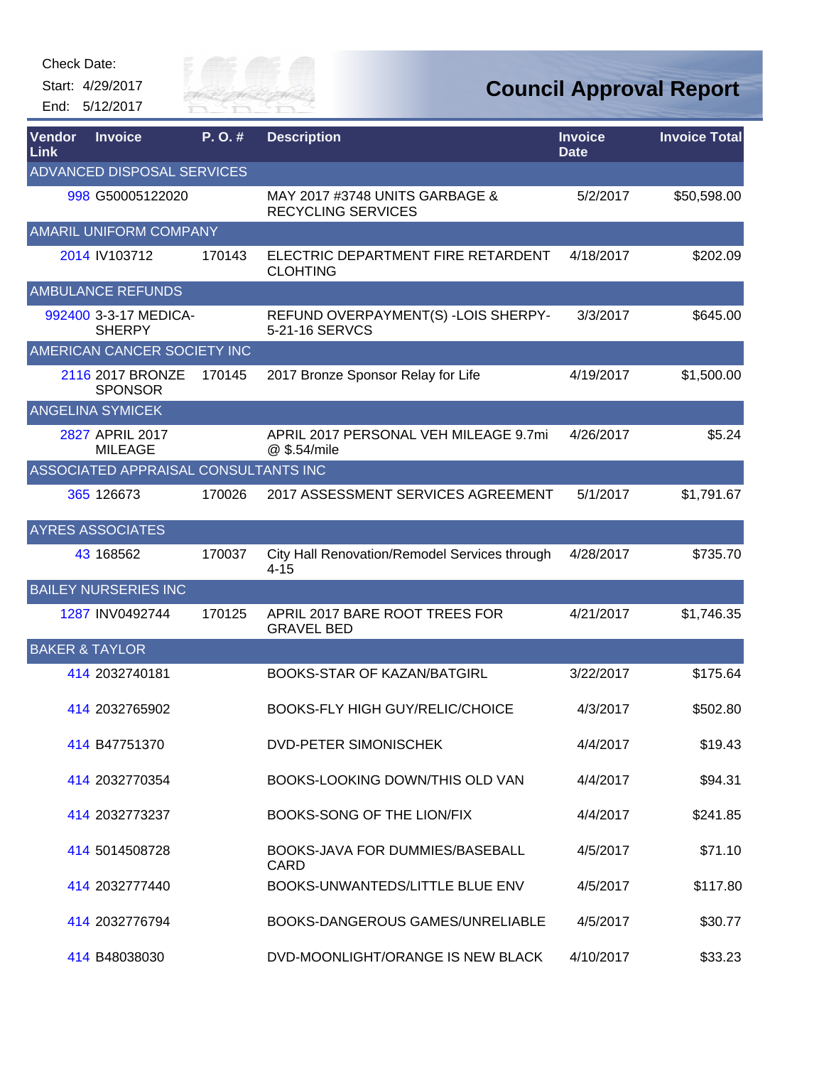Start: 4/29/2017 End: 5/12/2017



| Vendor<br>Link | <b>Invoice</b>                         | P.O.#  | <b>Description</b>                                          | <b>Invoice</b><br><b>Date</b> | <b>Invoice Total</b> |
|----------------|----------------------------------------|--------|-------------------------------------------------------------|-------------------------------|----------------------|
|                | <b>ADVANCED DISPOSAL SERVICES</b>      |        |                                                             |                               |                      |
|                | 998 G50005122020                       |        | MAY 2017 #3748 UNITS GARBAGE &<br><b>RECYCLING SERVICES</b> | 5/2/2017                      | \$50,598.00          |
|                | <b>AMARIL UNIFORM COMPANY</b>          |        |                                                             |                               |                      |
|                | 2014 IV103712                          | 170143 | ELECTRIC DEPARTMENT FIRE RETARDENT<br><b>CLOHTING</b>       | 4/18/2017                     | \$202.09             |
|                | <b>AMBULANCE REFUNDS</b>               |        |                                                             |                               |                      |
|                | 992400 3-3-17 MEDICA-<br><b>SHERPY</b> |        | REFUND OVERPAYMENT(S) - LOIS SHERPY-<br>5-21-16 SERVCS      | 3/3/2017                      | \$645.00             |
|                | AMERICAN CANCER SOCIETY INC            |        |                                                             |                               |                      |
|                | 2116 2017 BRONZE<br><b>SPONSOR</b>     | 170145 | 2017 Bronze Sponsor Relay for Life                          | 4/19/2017                     | \$1,500.00           |
|                | <b>ANGELINA SYMICEK</b>                |        |                                                             |                               |                      |
|                | 2827 APRIL 2017<br><b>MILEAGE</b>      |        | APRIL 2017 PERSONAL VEH MILEAGE 9.7mi<br>@ \$.54/mile       | 4/26/2017                     | \$5.24               |
|                | ASSOCIATED APPRAISAL CONSULTANTS INC   |        |                                                             |                               |                      |
|                | 365 126673                             | 170026 | 2017 ASSESSMENT SERVICES AGREEMENT                          | 5/1/2017                      | \$1,791.67           |
|                | <b>AYRES ASSOCIATES</b>                |        |                                                             |                               |                      |
|                | 43 168562                              | 170037 | City Hall Renovation/Remodel Services through<br>$4 - 15$   | 4/28/2017                     | \$735.70             |
|                | <b>BAILEY NURSERIES INC</b>            |        |                                                             |                               |                      |
|                | 1287 INV0492744                        | 170125 | APRIL 2017 BARE ROOT TREES FOR<br><b>GRAVEL BED</b>         | 4/21/2017                     | \$1,746.35           |
|                | <b>BAKER &amp; TAYLOR</b>              |        |                                                             |                               |                      |
|                | 414 2032740181                         |        | BOOKS-STAR OF KAZAN/BATGIRL                                 | 3/22/2017                     | \$175.64             |
|                | 414 2032765902                         |        | <b>BOOKS-FLY HIGH GUY/RELIC/CHOICE</b>                      | 4/3/2017                      | \$502.80             |
|                | 414 B47751370                          |        | <b>DVD-PETER SIMONISCHEK</b>                                | 4/4/2017                      | \$19.43              |
|                | 414 2032770354                         |        | BOOKS-LOOKING DOWN/THIS OLD VAN                             | 4/4/2017                      | \$94.31              |
|                | 414 2032773237                         |        | BOOKS-SONG OF THE LION/FIX                                  | 4/4/2017                      | \$241.85             |
|                | 414 5014508728                         |        | BOOKS-JAVA FOR DUMMIES/BASEBALL<br>CARD                     | 4/5/2017                      | \$71.10              |
|                | 414 2032777440                         |        | BOOKS-UNWANTEDS/LITTLE BLUE ENV                             | 4/5/2017                      | \$117.80             |
|                | 414 2032776794                         |        | BOOKS-DANGEROUS GAMES/UNRELIABLE                            | 4/5/2017                      | \$30.77              |
|                | 414 B48038030                          |        | DVD-MOONLIGHT/ORANGE IS NEW BLACK                           | 4/10/2017                     | \$33.23              |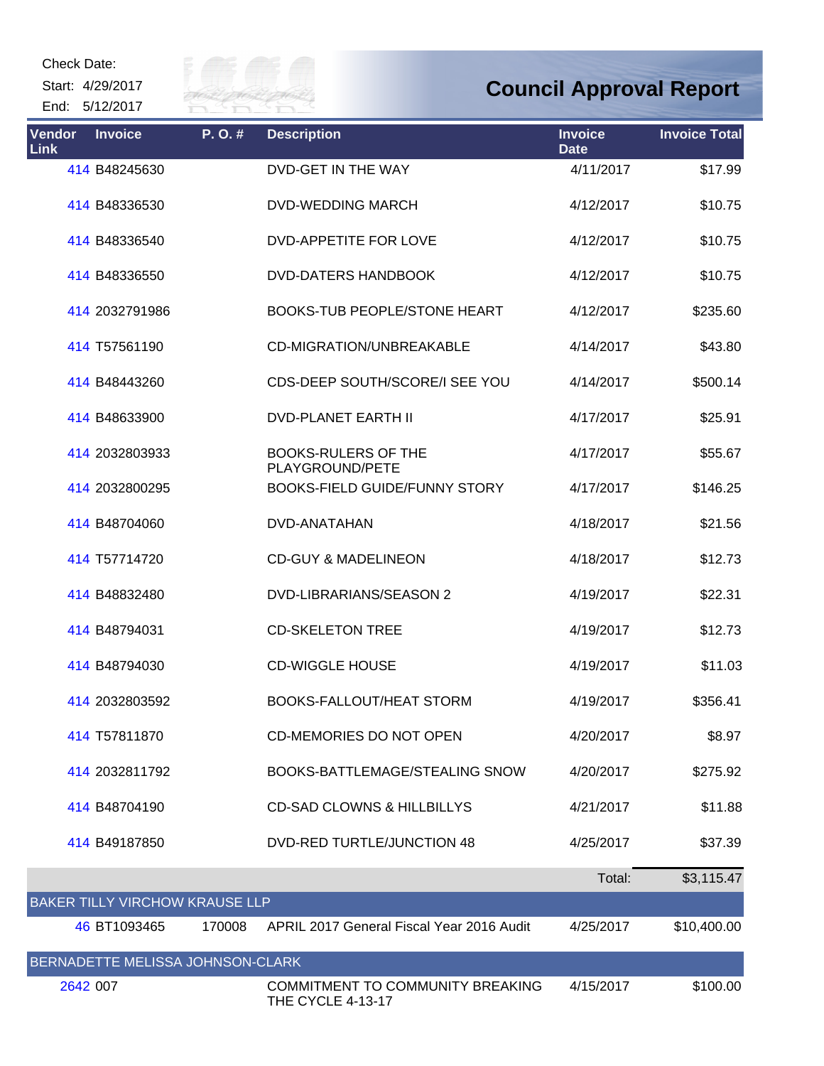Start: 4/29/2017 End: 5/12/2017



| <b>Vendor</b><br><b>Link</b> | <b>Invoice</b>                   | P.O.#  | <b>Description</b>                                                  | <b>Invoice</b><br><b>Date</b> | <b>Invoice Total</b> |
|------------------------------|----------------------------------|--------|---------------------------------------------------------------------|-------------------------------|----------------------|
|                              | 414 B48245630                    |        | DVD-GET IN THE WAY                                                  | 4/11/2017                     | \$17.99              |
|                              | 414 B48336530                    |        | <b>DVD-WEDDING MARCH</b>                                            | 4/12/2017                     | \$10.75              |
|                              | 414 B48336540                    |        | <b>DVD-APPETITE FOR LOVE</b>                                        | 4/12/2017                     | \$10.75              |
|                              | 414 B48336550                    |        | <b>DVD-DATERS HANDBOOK</b>                                          | 4/12/2017                     | \$10.75              |
|                              | 414 2032791986                   |        | <b>BOOKS-TUB PEOPLE/STONE HEART</b>                                 | 4/12/2017                     | \$235.60             |
|                              | 414 T57561190                    |        | CD-MIGRATION/UNBREAKABLE                                            | 4/14/2017                     | \$43.80              |
|                              | 414 B48443260                    |        | CDS-DEEP SOUTH/SCORE/I SEE YOU                                      | 4/14/2017                     | \$500.14             |
|                              | 414 B48633900                    |        | <b>DVD-PLANET EARTH II</b>                                          | 4/17/2017                     | \$25.91              |
|                              | 414 2032803933                   |        | <b>BOOKS-RULERS OF THE</b><br>PLAYGROUND/PETE                       | 4/17/2017                     | \$55.67              |
|                              | 414 2032800295                   |        | <b>BOOKS-FIELD GUIDE/FUNNY STORY</b>                                | 4/17/2017                     | \$146.25             |
|                              | 414 B48704060                    |        | DVD-ANATAHAN                                                        | 4/18/2017                     | \$21.56              |
|                              | 414 T57714720                    |        | <b>CD-GUY &amp; MADELINEON</b>                                      | 4/18/2017                     | \$12.73              |
|                              | 414 B48832480                    |        | DVD-LIBRARIANS/SEASON 2                                             | 4/19/2017                     | \$22.31              |
|                              | 414 B48794031                    |        | <b>CD-SKELETON TREE</b>                                             | 4/19/2017                     | \$12.73              |
|                              | 414 B48794030                    |        | <b>CD-WIGGLE HOUSE</b>                                              | 4/19/2017                     | \$11.03              |
|                              | 414 2032803592                   |        | BOOKS-FALLOUT/HEAT STORM                                            | 4/19/2017                     | \$356.41             |
|                              | 414 T57811870                    |        | <b>CD-MEMORIES DO NOT OPEN</b>                                      | 4/20/2017                     | \$8.97               |
|                              | 414 2032811792                   |        | BOOKS-BATTLEMAGE/STEALING SNOW                                      | 4/20/2017                     | \$275.92             |
|                              | 414 B48704190                    |        | <b>CD-SAD CLOWNS &amp; HILLBILLYS</b>                               | 4/21/2017                     | \$11.88              |
|                              | 414 B49187850                    |        | <b>DVD-RED TURTLE/JUNCTION 48</b>                                   | 4/25/2017                     | \$37.39              |
|                              |                                  |        |                                                                     | Total:                        | \$3,115.47           |
|                              | BAKER TILLY VIRCHOW KRAUSE LLP   |        |                                                                     |                               |                      |
|                              | 46 BT1093465                     | 170008 | APRIL 2017 General Fiscal Year 2016 Audit                           | 4/25/2017                     | \$10,400.00          |
|                              | BERNADETTE MELISSA JOHNSON-CLARK |        |                                                                     |                               |                      |
| 2642 007                     |                                  |        | <b>COMMITMENT TO COMMUNITY BREAKING</b><br><b>THE CYCLE 4-13-17</b> | 4/15/2017                     | \$100.00             |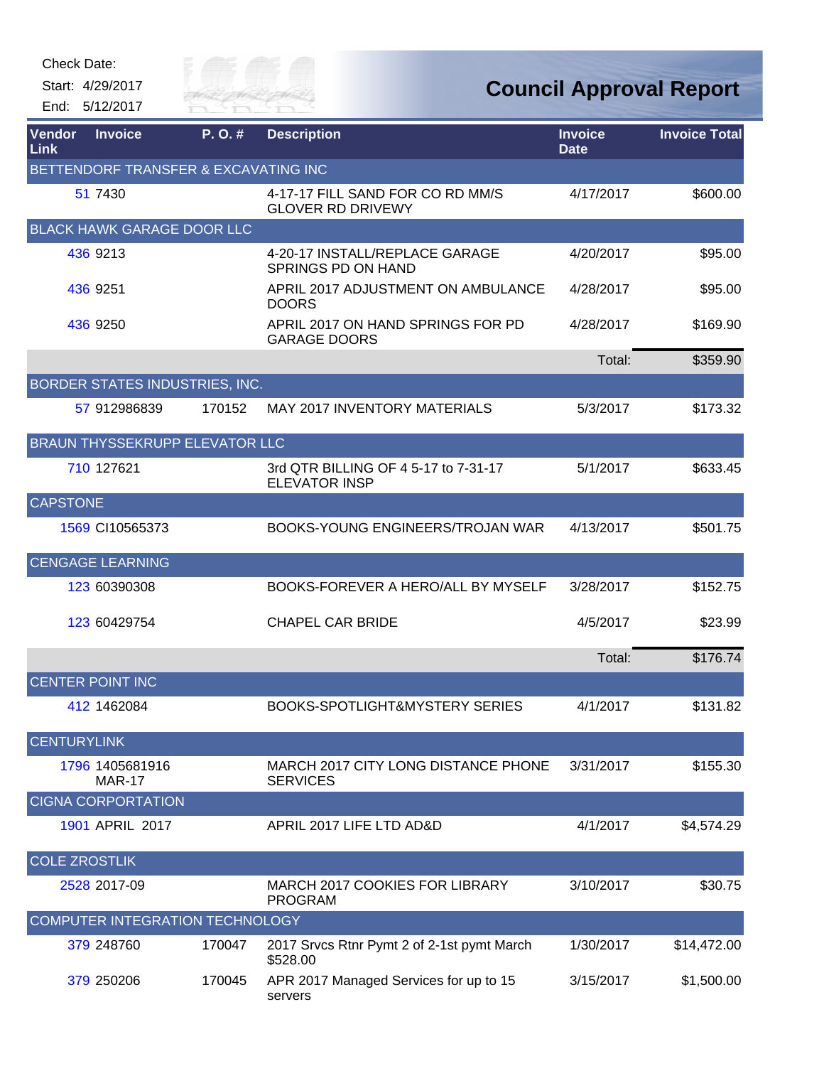| Check Date: |  |
|-------------|--|
|-------------|--|

Start: 4/29/2017

End: 5/12/2017



| <b>Vendor</b><br>Link | <b>Invoice</b>                        | P.O.#  | <b>Description</b>                                           | <b>Invoice</b><br><b>Date</b> | <b>Invoice Total</b> |
|-----------------------|---------------------------------------|--------|--------------------------------------------------------------|-------------------------------|----------------------|
|                       | BETTENDORF TRANSFER & EXCAVATING INC  |        |                                                              |                               |                      |
|                       | 51 7430                               |        | 4-17-17 FILL SAND FOR CO RD MM/S<br><b>GLOVER RD DRIVEWY</b> | 4/17/2017                     | \$600.00             |
|                       | <b>BLACK HAWK GARAGE DOOR LLC</b>     |        |                                                              |                               |                      |
|                       | 436 9213                              |        | 4-20-17 INSTALL/REPLACE GARAGE<br><b>SPRINGS PD ON HAND</b>  | 4/20/2017                     | \$95.00              |
|                       | 436 9251                              |        | APRIL 2017 ADJUSTMENT ON AMBULANCE<br><b>DOORS</b>           | 4/28/2017                     | \$95.00              |
|                       | 436 9250                              |        | APRIL 2017 ON HAND SPRINGS FOR PD<br><b>GARAGE DOORS</b>     | 4/28/2017                     | \$169.90             |
|                       |                                       |        |                                                              | Total:                        | \$359.90             |
|                       | BORDER STATES INDUSTRIES, INC.        |        |                                                              |                               |                      |
|                       | 57 912986839                          | 170152 | <b>MAY 2017 INVENTORY MATERIALS</b>                          | 5/3/2017                      | \$173.32             |
|                       | <b>BRAUN THYSSEKRUPP ELEVATOR LLC</b> |        |                                                              |                               |                      |
|                       | 710 127621                            |        | 3rd QTR BILLING OF 4 5-17 to 7-31-17<br><b>ELEVATOR INSP</b> | 5/1/2017                      | \$633.45             |
| <b>CAPSTONE</b>       |                                       |        |                                                              |                               |                      |
|                       | 1569 CI10565373                       |        | BOOKS-YOUNG ENGINEERS/TROJAN WAR                             | 4/13/2017                     | \$501.75             |
|                       | <b>CENGAGE LEARNING</b>               |        |                                                              |                               |                      |
|                       | 123 60390308                          |        | BOOKS-FOREVER A HERO/ALL BY MYSELF                           | 3/28/2017                     | \$152.75             |
|                       | 123 60429754                          |        | <b>CHAPEL CAR BRIDE</b>                                      | 4/5/2017                      | \$23.99              |
|                       |                                       |        |                                                              | Total:                        | \$176.74             |
|                       | <b>CENTER POINT INC</b>               |        |                                                              |                               |                      |
|                       | 412 1462084                           |        | <b>BOOKS-SPOTLIGHT&amp;MYSTERY SERIES</b>                    | 4/1/2017                      | \$131.82             |
| <b>CENTURYLINK</b>    |                                       |        |                                                              |                               |                      |
|                       | 1796 1405681916<br><b>MAR-17</b>      |        | MARCH 2017 CITY LONG DISTANCE PHONE<br><b>SERVICES</b>       | 3/31/2017                     | \$155.30             |
|                       | <b>CIGNA CORPORTATION</b>             |        |                                                              |                               |                      |
|                       | 1901 APRIL 2017                       |        | APRIL 2017 LIFE LTD AD&D                                     | 4/1/2017                      | \$4,574.29           |
| <b>COLE ZROSTLIK</b>  |                                       |        |                                                              |                               |                      |
|                       | 2528 2017-09                          |        | MARCH 2017 COOKIES FOR LIBRARY<br><b>PROGRAM</b>             | 3/10/2017                     | \$30.75              |
|                       | COMPUTER INTEGRATION TECHNOLOGY       |        |                                                              |                               |                      |
|                       | 379 248760                            | 170047 | 2017 Srvcs Rtnr Pymt 2 of 2-1st pymt March<br>\$528.00       | 1/30/2017                     | \$14,472.00          |
|                       | 379 250206                            | 170045 | APR 2017 Managed Services for up to 15<br>servers            | 3/15/2017                     | \$1,500.00           |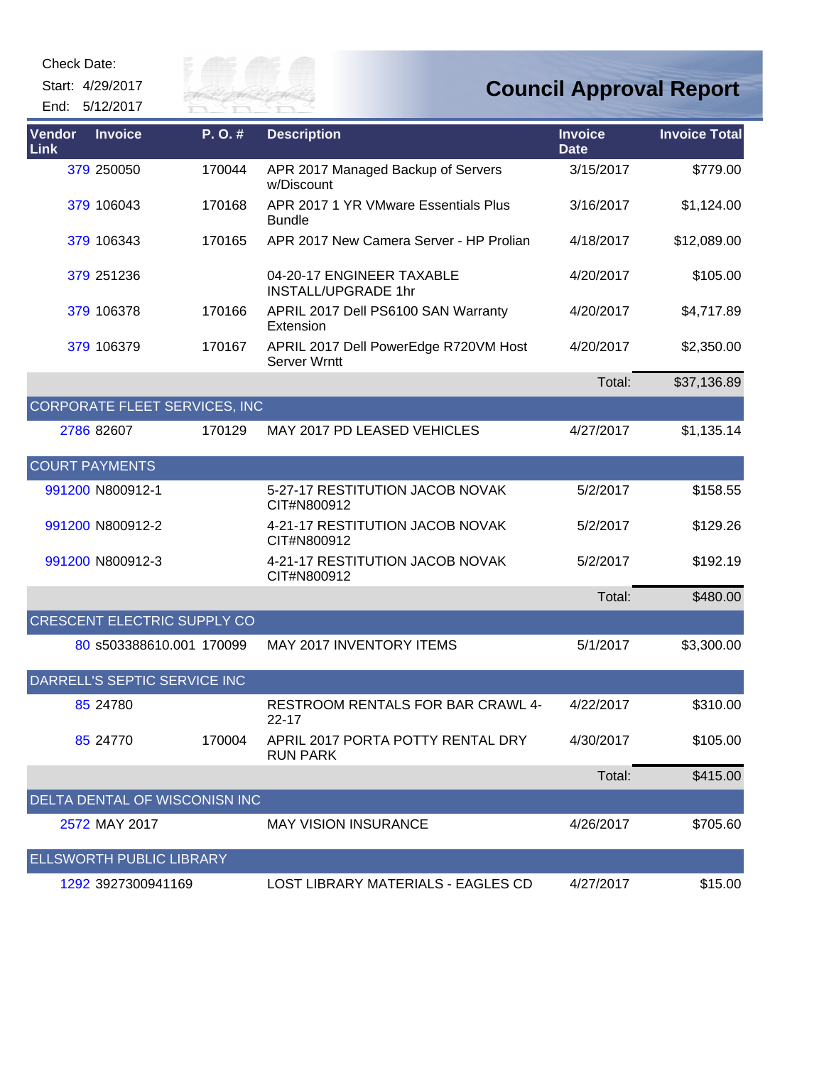Start: 4/29/2017

End: 5/12/2017



| Vendor<br>Link        | <b>Invoice</b>                       | P.O.#  | <b>Description</b>                                      | <b>Invoice</b><br><b>Date</b> | <b>Invoice Total</b> |
|-----------------------|--------------------------------------|--------|---------------------------------------------------------|-------------------------------|----------------------|
|                       | 379 250050                           | 170044 | APR 2017 Managed Backup of Servers<br>w/Discount        | 3/15/2017                     | \$779.00             |
|                       | 379 106043                           | 170168 | APR 2017 1 YR VMware Essentials Plus<br><b>Bundle</b>   | 3/16/2017                     | \$1,124.00           |
|                       | 379 106343                           | 170165 | APR 2017 New Camera Server - HP Prolian                 | 4/18/2017                     | \$12,089.00          |
|                       | 379 251 236                          |        | 04-20-17 ENGINEER TAXABLE<br><b>INSTALL/UPGRADE 1hr</b> | 4/20/2017                     | \$105.00             |
|                       | 379 106378                           | 170166 | APRIL 2017 Dell PS6100 SAN Warranty<br>Extension        | 4/20/2017                     | \$4,717.89           |
|                       | 379 106379                           | 170167 | APRIL 2017 Dell PowerEdge R720VM Host<br>Server Wrntt   | 4/20/2017                     | \$2,350.00           |
|                       |                                      |        |                                                         | Total:                        | \$37,136.89          |
|                       | <b>CORPORATE FLEET SERVICES, INC</b> |        |                                                         |                               |                      |
|                       | 2786 82607                           | 170129 | <b>MAY 2017 PD LEASED VEHICLES</b>                      | 4/27/2017                     | \$1,135.14           |
| <b>COURT PAYMENTS</b> |                                      |        |                                                         |                               |                      |
|                       | 991200 N800912-1                     |        | 5-27-17 RESTITUTION JACOB NOVAK<br>CIT#N800912          | 5/2/2017                      | \$158.55             |
|                       | 991200 N800912-2                     |        | 4-21-17 RESTITUTION JACOB NOVAK<br>CIT#N800912          | 5/2/2017                      | \$129.26             |
|                       | 991200 N800912-3                     |        | 4-21-17 RESTITUTION JACOB NOVAK<br>CIT#N800912          | 5/2/2017                      | \$192.19             |
|                       |                                      |        |                                                         | Total:                        | \$480.00             |
|                       | <b>CRESCENT ELECTRIC SUPPLY CO</b>   |        |                                                         |                               |                      |
|                       | 80 s503388610.001 170099             |        | MAY 2017 INVENTORY ITEMS                                | 5/1/2017                      | \$3,300.00           |
|                       | DARRELL'S SEPTIC SERVICE INC         |        |                                                         |                               |                      |
|                       | 85 24780                             |        | RESTROOM RENTALS FOR BAR CRAWL 4-<br>22-17              | 4/22/2017                     | \$310.00             |
|                       | 85 24770                             | 170004 | APRIL 2017 PORTA POTTY RENTAL DRY<br><b>RUN PARK</b>    | 4/30/2017                     | \$105.00             |
|                       |                                      |        |                                                         | Total:                        | \$415.00             |
|                       | DELTA DENTAL OF WISCONISN INC        |        |                                                         |                               |                      |
|                       | 2572 MAY 2017                        |        | <b>MAY VISION INSURANCE</b>                             | 4/26/2017                     | \$705.60             |
|                       | <b>ELLSWORTH PUBLIC LIBRARY</b>      |        |                                                         |                               |                      |
|                       | 1292 3927300941169                   |        | LOST LIBRARY MATERIALS - EAGLES CD                      | 4/27/2017                     | \$15.00              |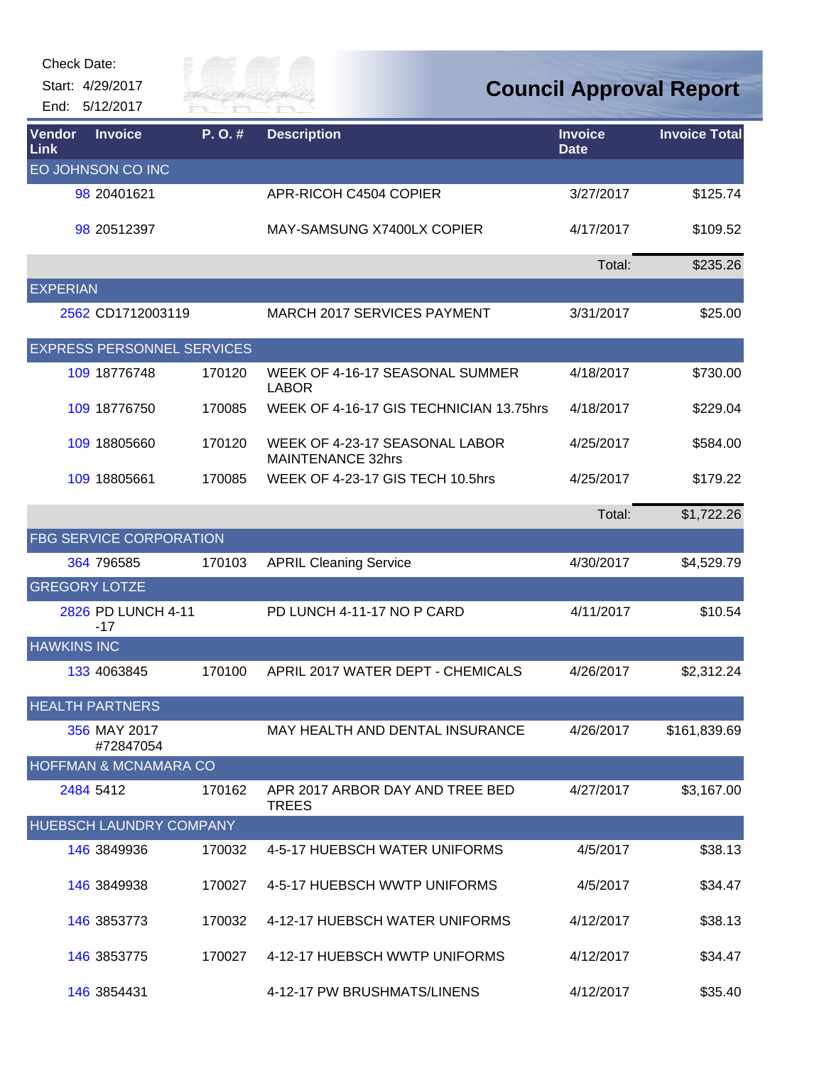

| Vendor<br>Link     | <b>Invoice</b>                    | P.O.#  | <b>Description</b>                                         | <b>Invoice</b><br><b>Date</b> | <b>Invoice Total</b> |
|--------------------|-----------------------------------|--------|------------------------------------------------------------|-------------------------------|----------------------|
|                    | EO JOHNSON CO INC                 |        |                                                            |                               |                      |
|                    | 98 20401621                       |        | APR-RICOH C4504 COPIER                                     | 3/27/2017                     | \$125.74             |
|                    | 98 20512397                       |        | MAY-SAMSUNG X7400LX COPIER                                 | 4/17/2017                     | \$109.52             |
|                    |                                   |        |                                                            | Total:                        | \$235.26             |
| <b>EXPERIAN</b>    |                                   |        |                                                            |                               |                      |
|                    | 2562 CD1712003119                 |        | <b>MARCH 2017 SERVICES PAYMENT</b>                         | 3/31/2017                     | \$25.00              |
|                    | <b>EXPRESS PERSONNEL SERVICES</b> |        |                                                            |                               |                      |
|                    | 109 18776748                      | 170120 | WEEK OF 4-16-17 SEASONAL SUMMER<br><b>LABOR</b>            | 4/18/2017                     | \$730.00             |
|                    | 109 18776750                      | 170085 | WEEK OF 4-16-17 GIS TECHNICIAN 13.75hrs                    | 4/18/2017                     | \$229.04             |
|                    | 109 18805660                      | 170120 | WEEK OF 4-23-17 SEASONAL LABOR<br><b>MAINTENANCE 32hrs</b> | 4/25/2017                     | \$584.00             |
|                    | 109 18805661                      | 170085 | WEEK OF 4-23-17 GIS TECH 10.5hrs                           | 4/25/2017                     | \$179.22             |
|                    |                                   |        |                                                            | Total:                        | \$1,722.26           |
|                    | <b>FBG SERVICE CORPORATION</b>    |        |                                                            |                               |                      |
|                    | 364 796585                        | 170103 | <b>APRIL Cleaning Service</b>                              | 4/30/2017                     | \$4,529.79           |
|                    | <b>GREGORY LOTZE</b>              |        |                                                            |                               |                      |
|                    | 2826 PD LUNCH 4-11<br>$-17$       |        | PD LUNCH 4-11-17 NO P CARD                                 | 4/11/2017                     | \$10.54              |
| <b>HAWKINS INC</b> |                                   |        |                                                            |                               |                      |
|                    | 133 4063845                       | 170100 | APRIL 2017 WATER DEPT - CHEMICALS                          | 4/26/2017                     | \$2,312.24           |
|                    | <b>HEALTH PARTNERS</b>            |        |                                                            |                               |                      |
|                    | 356 MAY 2017<br>#72847054         |        | MAY HEALTH AND DENTAL INSURANCE                            | 4/26/2017                     | \$161,839.69         |
|                    | <b>HOFFMAN &amp; MCNAMARA CO</b>  |        |                                                            |                               |                      |
|                    | 2484 5412                         | 170162 | APR 2017 ARBOR DAY AND TREE BED<br><b>TREES</b>            | 4/27/2017                     | \$3,167.00           |
|                    | <b>HUEBSCH LAUNDRY COMPANY</b>    |        |                                                            |                               |                      |
|                    | 146 3849936                       | 170032 | 4-5-17 HUEBSCH WATER UNIFORMS                              | 4/5/2017                      | \$38.13              |
|                    | 146 3849938                       | 170027 | 4-5-17 HUEBSCH WWTP UNIFORMS                               | 4/5/2017                      | \$34.47              |
|                    | 146 3853773                       | 170032 | 4-12-17 HUEBSCH WATER UNIFORMS                             | 4/12/2017                     | \$38.13              |
|                    | 146 3853775                       | 170027 | 4-12-17 HUEBSCH WWTP UNIFORMS                              | 4/12/2017                     | \$34.47              |
|                    | 146 3854431                       |        | 4-12-17 PW BRUSHMATS/LINENS                                | 4/12/2017                     | \$35.40              |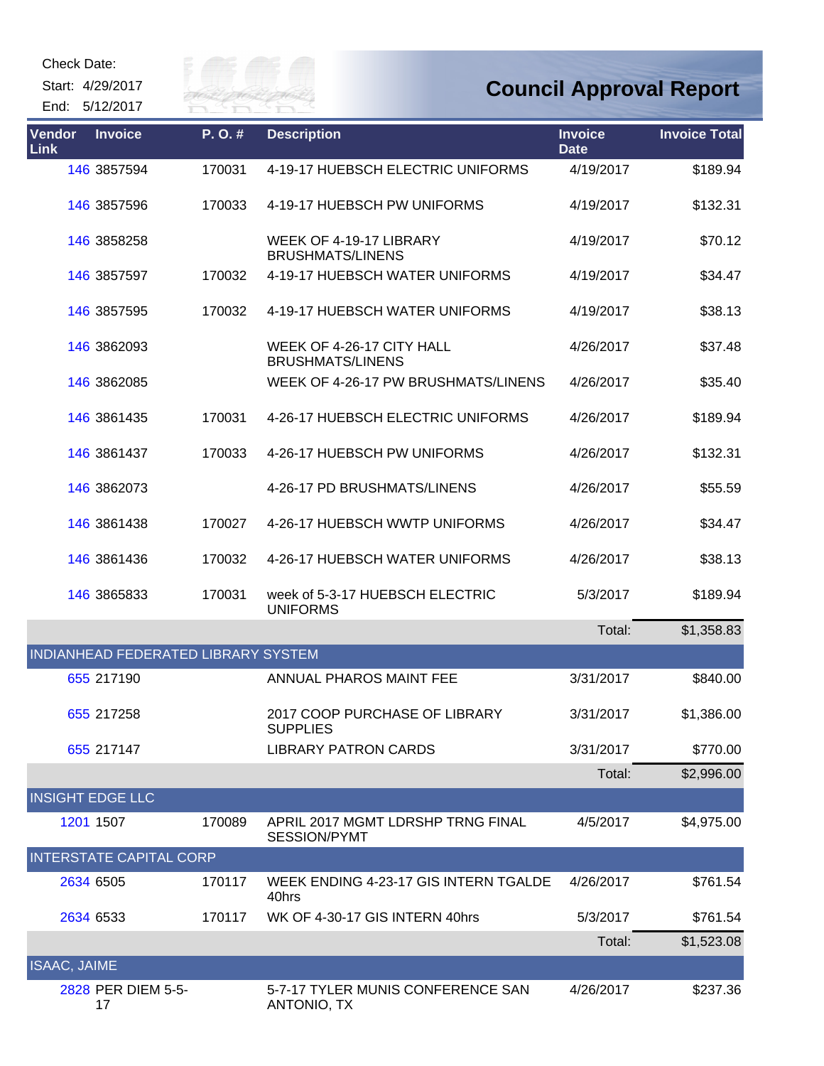Start: 4/29/2017





| Vendor<br>Link          | <b>Invoice</b>                      | P.O.#  | <b>Description</b>                                       | <b>Invoice</b><br><b>Date</b> | <b>Invoice Total</b> |
|-------------------------|-------------------------------------|--------|----------------------------------------------------------|-------------------------------|----------------------|
|                         | 146 3857594                         | 170031 | 4-19-17 HUEBSCH ELECTRIC UNIFORMS                        | 4/19/2017                     | \$189.94             |
|                         | 146 3857596                         | 170033 | 4-19-17 HUEBSCH PW UNIFORMS                              | 4/19/2017                     | \$132.31             |
|                         | 146 3858258                         |        | WEEK OF 4-19-17 LIBRARY<br><b>BRUSHMATS/LINENS</b>       | 4/19/2017                     | \$70.12              |
|                         | 146 3857597                         | 170032 | 4-19-17 HUEBSCH WATER UNIFORMS                           | 4/19/2017                     | \$34.47              |
|                         | 146 3857595                         | 170032 | 4-19-17 HUEBSCH WATER UNIFORMS                           | 4/19/2017                     | \$38.13              |
|                         | 146 3862093                         |        | WEEK OF 4-26-17 CITY HALL<br><b>BRUSHMATS/LINENS</b>     | 4/26/2017                     | \$37.48              |
|                         | 146 3862085                         |        | WEEK OF 4-26-17 PW BRUSHMATS/LINENS                      | 4/26/2017                     | \$35.40              |
|                         | 146 3861435                         | 170031 | 4-26-17 HUEBSCH ELECTRIC UNIFORMS                        | 4/26/2017                     | \$189.94             |
|                         | 146 3861437                         | 170033 | 4-26-17 HUEBSCH PW UNIFORMS                              | 4/26/2017                     | \$132.31             |
|                         | 146 3862073                         |        | 4-26-17 PD BRUSHMATS/LINENS                              | 4/26/2017                     | \$55.59              |
|                         | 146 3861438                         | 170027 | 4-26-17 HUEBSCH WWTP UNIFORMS                            | 4/26/2017                     | \$34.47              |
|                         | 146 3861436                         | 170032 | 4-26-17 HUEBSCH WATER UNIFORMS                           | 4/26/2017                     | \$38.13              |
|                         | 146 3865833                         | 170031 | week of 5-3-17 HUEBSCH ELECTRIC<br><b>UNIFORMS</b>       | 5/3/2017                      | \$189.94             |
|                         |                                     |        |                                                          | Total:                        | \$1,358.83           |
|                         | INDIANHEAD FEDERATED LIBRARY SYSTEM |        |                                                          |                               |                      |
|                         | 655 217190                          |        | ANNUAL PHAROS MAINT FEE                                  | 3/31/2017                     | \$840.00             |
|                         | 655 217258                          |        | 2017 COOP PURCHASE OF LIBRARY<br><b>SUPPLIES</b>         | 3/31/2017                     | \$1,386.00           |
|                         | 655 217147                          |        | <b>LIBRARY PATRON CARDS</b>                              | 3/31/2017                     | \$770.00             |
|                         |                                     |        |                                                          | Total:                        | \$2,996.00           |
| <b>INSIGHT EDGE LLC</b> |                                     |        |                                                          |                               |                      |
|                         | 1201 1507                           | 170089 | APRIL 2017 MGMT LDRSHP TRNG FINAL<br><b>SESSION/PYMT</b> | 4/5/2017                      | \$4,975.00           |
|                         | <b>INTERSTATE CAPITAL CORP</b>      |        |                                                          |                               |                      |
|                         | 2634 6505                           | 170117 | WEEK ENDING 4-23-17 GIS INTERN TGALDE<br>40hrs           | 4/26/2017                     | \$761.54             |
|                         | 2634 6533                           | 170117 | WK OF 4-30-17 GIS INTERN 40hrs                           | 5/3/2017                      | \$761.54             |
|                         |                                     |        |                                                          | Total:                        | \$1,523.08           |
| <b>ISAAC, JAIME</b>     |                                     |        |                                                          |                               |                      |
|                         | 2828 PER DIEM 5-5-<br>17            |        | 5-7-17 TYLER MUNIS CONFERENCE SAN<br>ANTONIO, TX         | 4/26/2017                     | \$237.36             |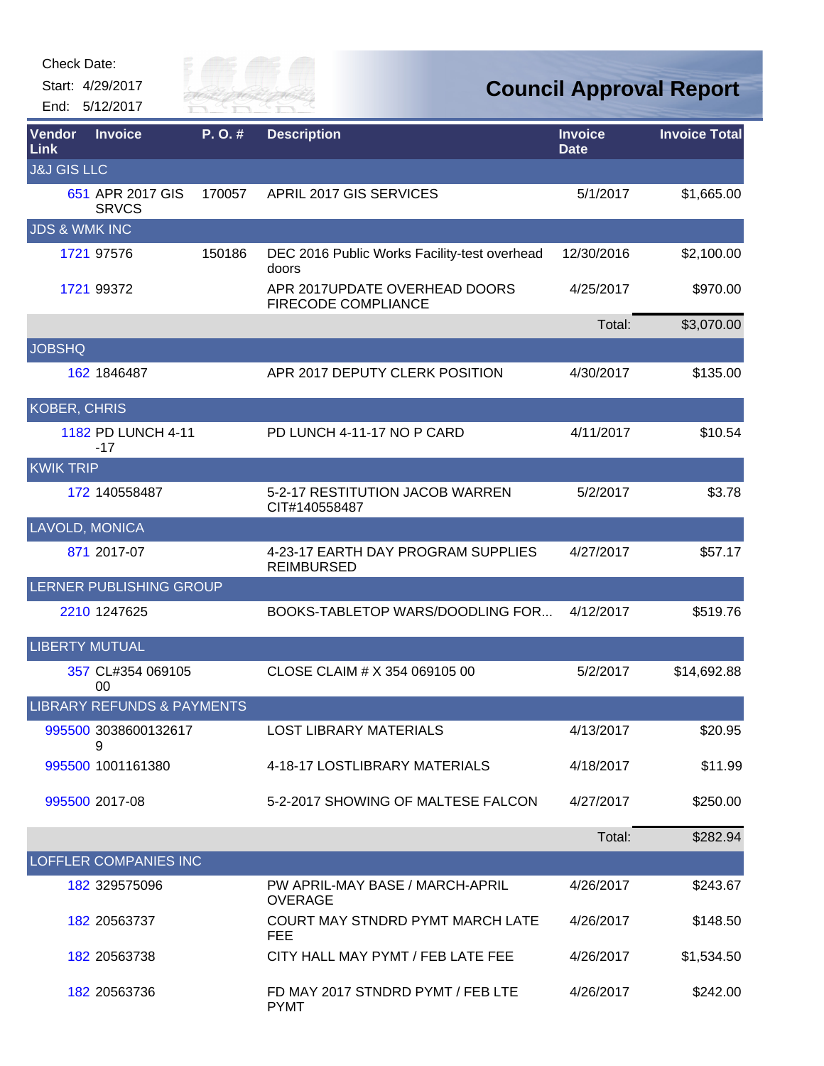| <b>Check Date:</b>       |                                       |         |                                                         |                               |                                |
|--------------------------|---------------------------------------|---------|---------------------------------------------------------|-------------------------------|--------------------------------|
| Start: 4/29/2017         |                                       | City of |                                                         |                               | <b>Council Approval Report</b> |
| End: 5/12/2017           |                                       |         |                                                         |                               |                                |
| Vendor<br>Link           | <b>Invoice</b>                        | P.O.#   | <b>Description</b>                                      | <b>Invoice</b><br><b>Date</b> | <b>Invoice Total</b>           |
| <b>J&amp;J GIS LLC</b>   |                                       |         |                                                         |                               |                                |
|                          | 651 APR 2017 GIS<br><b>SRVCS</b>      | 170057  | APRIL 2017 GIS SERVICES                                 | 5/1/2017                      | \$1,665.00                     |
| <b>JDS &amp; WMK INC</b> |                                       |         |                                                         |                               |                                |
| 1721 97576               |                                       | 150186  | DEC 2016 Public Works Facility-test overhead<br>doors   | 12/30/2016                    | \$2,100.00                     |
| 1721 99372               |                                       |         | APR 2017UPDATE OVERHEAD DOORS<br>FIRECODE COMPLIANCE    | 4/25/2017                     | \$970.00                       |
|                          |                                       |         |                                                         | Total:                        | \$3,070.00                     |
| <b>JOBSHQ</b>            |                                       |         |                                                         |                               |                                |
| 162 1846487              |                                       |         | APR 2017 DEPUTY CLERK POSITION                          | 4/30/2017                     | \$135.00                       |
| <b>KOBER, CHRIS</b>      |                                       |         |                                                         |                               |                                |
| $-17$                    | 1182 PD LUNCH 4-11                    |         | PD LUNCH 4-11-17 NO P CARD                              | 4/11/2017                     | \$10.54                        |
| <b>KWIK TRIP</b>         |                                       |         |                                                         |                               |                                |
|                          | 172 140558487                         |         | 5-2-17 RESTITUTION JACOB WARREN<br>CIT#140558487        | 5/2/2017                      | \$3.78                         |
| LAVOLD, MONICA           |                                       |         |                                                         |                               |                                |
| 871 2017-07              |                                       |         | 4-23-17 EARTH DAY PROGRAM SUPPLIES<br><b>REIMBURSED</b> | 4/27/2017                     | \$57.17                        |
|                          | LERNER PUBLISHING GROUP               |         |                                                         |                               |                                |
| 2210 1247625             |                                       |         | BOOKS-TABLETOP WARS/DOODLING FOR                        | 4/12/2017                     | \$519.76                       |
| <b>LIBERTY MUTUAL</b>    |                                       |         |                                                         |                               |                                |
| 00                       | 357 CL#354 069105                     |         | CLOSE CLAIM # X 354 069105 00                           | 5/2/2017                      | \$14,692.88                    |
|                          | <b>LIBRARY REFUNDS &amp; PAYMENTS</b> |         |                                                         |                               |                                |
| 9                        | 995500 3038600132617                  |         | <b>LOST LIBRARY MATERIALS</b>                           | 4/13/2017                     | \$20.95                        |
| 995500 1001161380        |                                       |         | 4-18-17 LOSTLIBRARY MATERIALS                           | 4/18/2017                     | \$11.99                        |
| 995500 2017-08           |                                       |         | 5-2-2017 SHOWING OF MALTESE FALCON                      | 4/27/2017                     | \$250.00                       |
|                          |                                       |         |                                                         | Total:                        | \$282.94                       |
|                          | LOFFLER COMPANIES INC                 |         |                                                         |                               |                                |
|                          | 182 329575096                         |         | PW APRIL-MAY BASE / MARCH-APRIL<br><b>OVERAGE</b>       | 4/26/2017                     | \$243.67                       |
|                          | 182 20563737                          |         | COURT MAY STNDRD PYMT MARCH LATE<br><b>FEE</b>          | 4/26/2017                     | \$148.50                       |
|                          | 182 20563738                          |         | CITY HALL MAY PYMT / FEB LATE FEE                       | 4/26/2017                     | \$1,534.50                     |
|                          | 182 20563736                          |         | FD MAY 2017 STNDRD PYMT / FEB LTE<br><b>PYMT</b>        | 4/26/2017                     | \$242.00                       |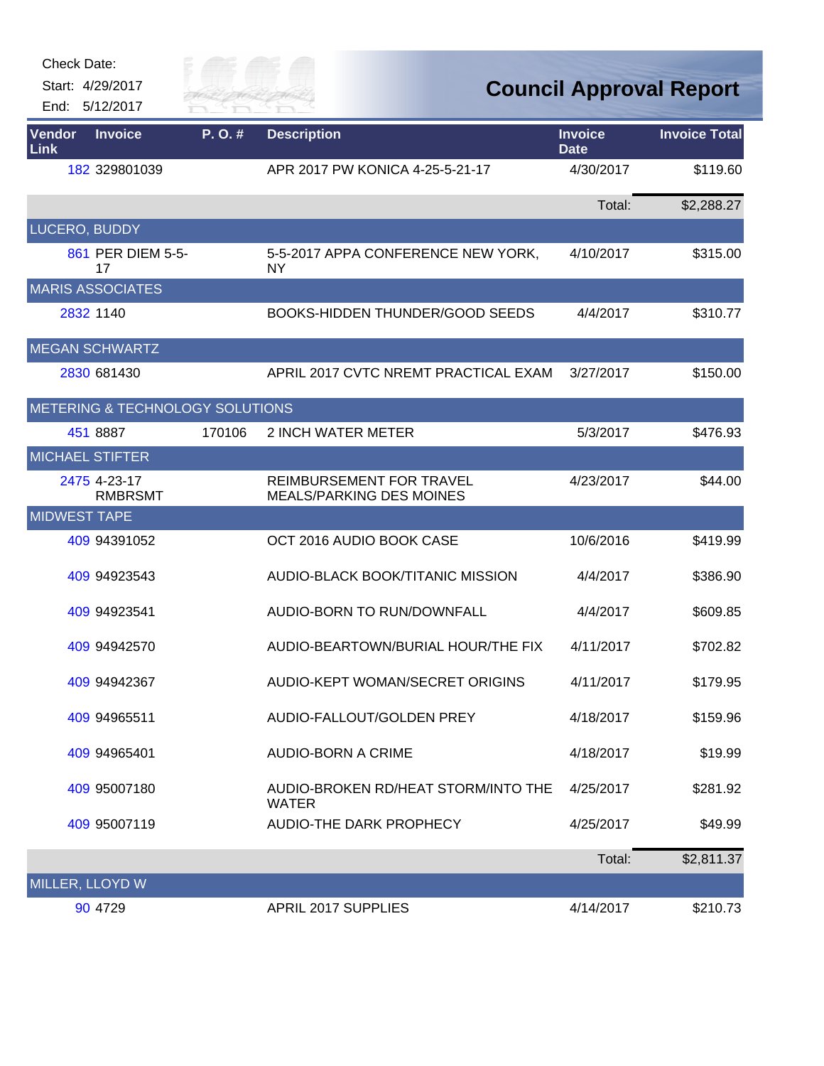| Check Date: |  |
|-------------|--|
|-------------|--|



| <b>Vendor</b><br>Link | <b>Invoice</b>                  | P.O.#  | <b>Description</b>                                          | <b>Invoice</b><br><b>Date</b> | <b>Invoice Total</b> |
|-----------------------|---------------------------------|--------|-------------------------------------------------------------|-------------------------------|----------------------|
|                       | 182 329801039                   |        | APR 2017 PW KONICA 4-25-5-21-17                             | 4/30/2017                     | \$119.60             |
|                       |                                 |        |                                                             | Total:                        | \$2,288.27           |
| LUCERO, BUDDY         |                                 |        |                                                             |                               |                      |
|                       | 861 PER DIEM 5-5-<br>17         |        | 5-5-2017 APPA CONFERENCE NEW YORK,<br><b>NY</b>             | 4/10/2017                     | \$315.00             |
|                       | <b>MARIS ASSOCIATES</b>         |        |                                                             |                               |                      |
|                       | 2832 1140                       |        | <b>BOOKS-HIDDEN THUNDER/GOOD SEEDS</b>                      | 4/4/2017                      | \$310.77             |
|                       | <b>MEGAN SCHWARTZ</b>           |        |                                                             |                               |                      |
|                       | 2830 681430                     |        | APRIL 2017 CVTC NREMT PRACTICAL EXAM                        | 3/27/2017                     | \$150.00             |
|                       | METERING & TECHNOLOGY SOLUTIONS |        |                                                             |                               |                      |
|                       | 451 8887                        | 170106 | <b>2 INCH WATER METER</b>                                   | 5/3/2017                      | \$476.93             |
|                       | <b>MICHAEL STIFTER</b>          |        |                                                             |                               |                      |
|                       | 2475 4-23-17<br><b>RMBRSMT</b>  |        | REIMBURSEMENT FOR TRAVEL<br><b>MEALS/PARKING DES MOINES</b> | 4/23/2017                     | \$44.00              |
| <b>MIDWEST TAPE</b>   |                                 |        |                                                             |                               |                      |
|                       | 409 94391052                    |        | OCT 2016 AUDIO BOOK CASE                                    | 10/6/2016                     | \$419.99             |
|                       | 409 94923543                    |        | AUDIO-BLACK BOOK/TITANIC MISSION                            | 4/4/2017                      | \$386.90             |
|                       | 409 94923541                    |        | AUDIO-BORN TO RUN/DOWNFALL                                  | 4/4/2017                      | \$609.85             |
|                       | 409 94942570                    |        | AUDIO-BEARTOWN/BURIAL HOUR/THE FIX                          | 4/11/2017                     | \$702.82             |
|                       | 409 94942367                    |        | AUDIO-KEPT WOMAN/SECRET ORIGINS                             | 4/11/2017                     | \$179.95             |
|                       | 409 94965511                    |        | AUDIO-FALLOUT/GOLDEN PREY                                   | 4/18/2017                     | \$159.96             |
|                       | 409 94965401                    |        | <b>AUDIO-BORN A CRIME</b>                                   | 4/18/2017                     | \$19.99              |
|                       | 409 95007180                    |        | AUDIO-BROKEN RD/HEAT STORM/INTO THE<br><b>WATER</b>         | 4/25/2017                     | \$281.92             |
|                       | 409 95007119                    |        | AUDIO-THE DARK PROPHECY                                     | 4/25/2017                     | \$49.99              |
|                       |                                 |        |                                                             | Total:                        | \$2,811.37           |
| MILLER, LLOYD W       |                                 |        |                                                             |                               |                      |
|                       | 90 4729                         |        | <b>APRIL 2017 SUPPLIES</b>                                  | 4/14/2017                     | \$210.73             |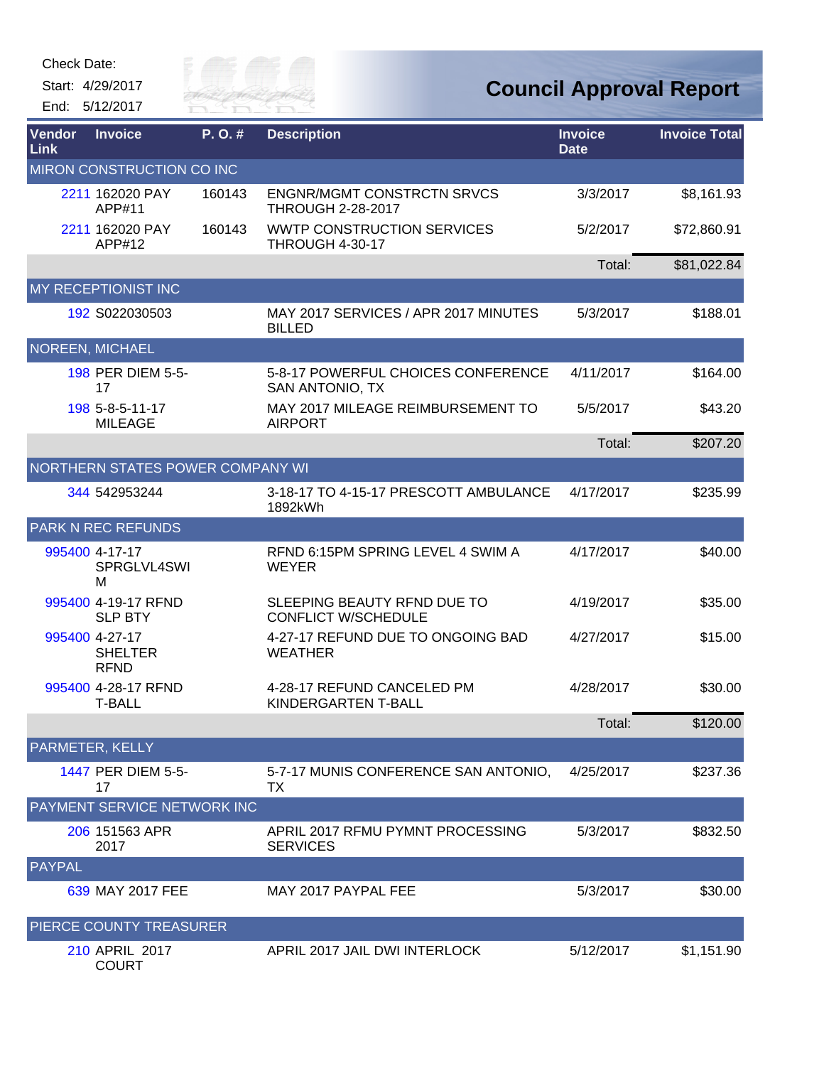| Check Date: |  |
|-------------|--|
|-------------|--|

Start: 4/29/2017

End: 5/12/2017



| <b>Vendor</b><br>Link | <b>Invoice</b>                                  | P. O. # | <b>Description</b>                                            | <b>Invoice</b><br><b>Date</b> | <b>Invoice Total</b> |
|-----------------------|-------------------------------------------------|---------|---------------------------------------------------------------|-------------------------------|----------------------|
|                       | MIRON CONSTRUCTION CO INC                       |         |                                                               |                               |                      |
|                       | 2211 162020 PAY<br>APP#11                       | 160143  | <b>ENGNR/MGMT CONSTRCTN SRVCS</b><br><b>THROUGH 2-28-2017</b> | 3/3/2017                      | \$8,161.93           |
|                       | 2211 162020 PAY<br>APP#12                       | 160143  | <b>WWTP CONSTRUCTION SERVICES</b><br><b>THROUGH 4-30-17</b>   | 5/2/2017                      | \$72,860.91          |
|                       |                                                 |         |                                                               | Total:                        | \$81,022.84          |
|                       | MY RECEPTIONIST INC                             |         |                                                               |                               |                      |
|                       | 192 S022030503                                  |         | MAY 2017 SERVICES / APR 2017 MINUTES<br><b>BILLED</b>         | 5/3/2017                      | \$188.01             |
|                       | <b>NOREEN, MICHAEL</b>                          |         |                                                               |                               |                      |
|                       | 198 PER DIEM 5-5-<br>17                         |         | 5-8-17 POWERFUL CHOICES CONFERENCE<br>SAN ANTONIO, TX         | 4/11/2017                     | \$164.00             |
|                       | 198 5-8-5-11-17<br><b>MILEAGE</b>               |         | MAY 2017 MILEAGE REIMBURSEMENT TO<br><b>AIRPORT</b>           | 5/5/2017                      | \$43.20              |
|                       |                                                 |         |                                                               | Total:                        | \$207.20             |
|                       | NORTHERN STATES POWER COMPANY WI                |         |                                                               |                               |                      |
|                       | 344 542953244                                   |         | 3-18-17 TO 4-15-17 PRESCOTT AMBULANCE<br>1892kWh              | 4/17/2017                     | \$235.99             |
|                       | <b>PARK N REC REFUNDS</b>                       |         |                                                               |                               |                      |
|                       | 995400 4-17-17<br>SPRGLVL4SWI<br>м              |         | RFND 6:15PM SPRING LEVEL 4 SWIM A<br><b>WEYER</b>             | 4/17/2017                     | \$40.00              |
|                       | 995400 4-19-17 RFND<br><b>SLP BTY</b>           |         | SLEEPING BEAUTY RFND DUE TO<br><b>CONFLICT W/SCHEDULE</b>     | 4/19/2017                     | \$35.00              |
|                       | 995400 4-27-17<br><b>SHELTER</b><br><b>RFND</b> |         | 4-27-17 REFUND DUE TO ONGOING BAD<br><b>WEATHER</b>           | 4/27/2017                     | \$15.00              |
|                       | 995400 4-28-17 RFND<br><b>T-BALL</b>            |         | 4-28-17 REFUND CANCELED PM<br><b>KINDERGARTEN T-BALL</b>      | 4/28/2017                     | \$30.00              |
|                       |                                                 |         |                                                               | Total:                        | \$120.00             |
|                       | PARMETER, KELLY                                 |         |                                                               |                               |                      |
|                       | 1447 PER DIEM 5-5-<br>17                        |         | 5-7-17 MUNIS CONFERENCE SAN ANTONIO,<br>ТX                    | 4/25/2017                     | \$237.36             |
|                       | PAYMENT SERVICE NETWORK INC                     |         |                                                               |                               |                      |
|                       | 206 151563 APR<br>2017                          |         | APRIL 2017 RFMU PYMNT PROCESSING<br><b>SERVICES</b>           | 5/3/2017                      | \$832.50             |
| <b>PAYPAL</b>         |                                                 |         |                                                               |                               |                      |
|                       | 639 MAY 2017 FEE                                |         | MAY 2017 PAYPAL FEE                                           | 5/3/2017                      | \$30.00              |
|                       | PIERCE COUNTY TREASURER                         |         |                                                               |                               |                      |
|                       | 210 APRIL 2017<br><b>COURT</b>                  |         | APRIL 2017 JAIL DWI INTERLOCK                                 | 5/12/2017                     | \$1,151.90           |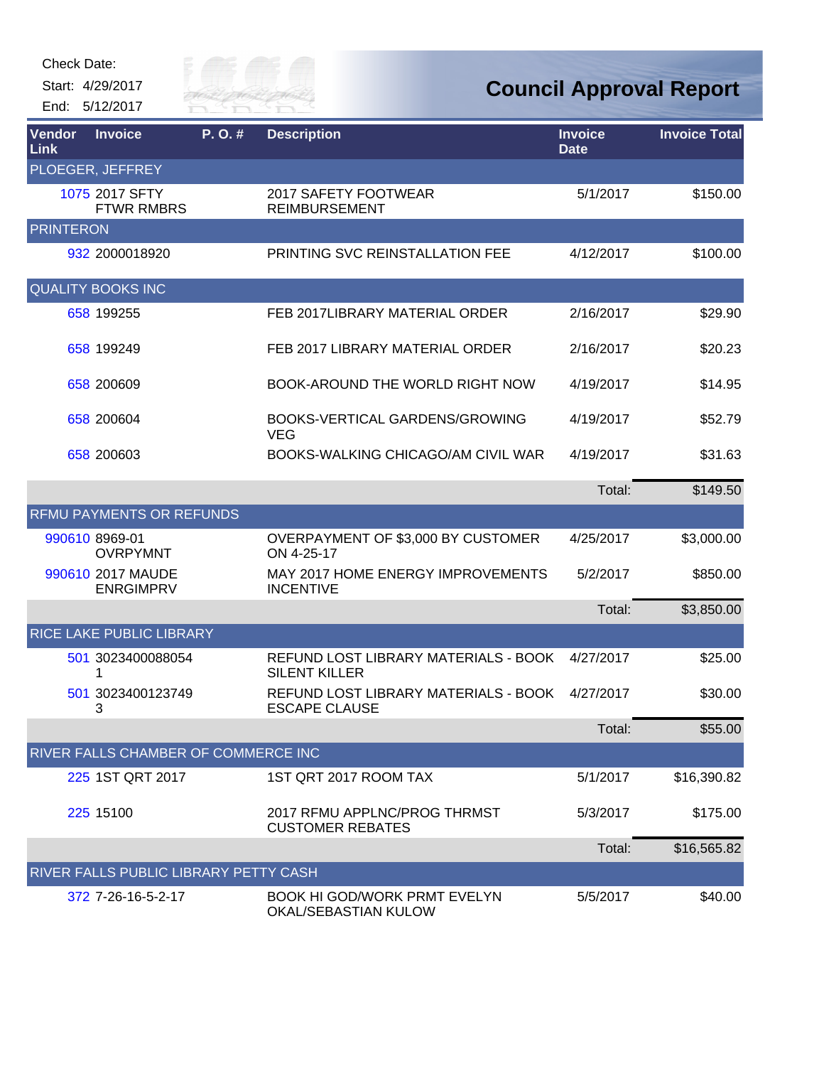| Check Date: |  |
|-------------|--|
|-------------|--|



| Vendor<br>Link   | <b>Invoice</b>                               | P.O.# | <b>Description</b>                                           | <b>Invoice</b><br><b>Date</b> | <b>Invoice Total</b> |
|------------------|----------------------------------------------|-------|--------------------------------------------------------------|-------------------------------|----------------------|
|                  | PLOEGER, JEFFREY                             |       |                                                              |                               |                      |
|                  | 1075 2017 SFTY<br><b>FTWR RMBRS</b>          |       | 2017 SAFETY FOOTWEAR<br><b>REIMBURSEMENT</b>                 | 5/1/2017                      | \$150.00             |
| <b>PRINTERON</b> |                                              |       |                                                              |                               |                      |
|                  | 932 2000018920                               |       | PRINTING SVC REINSTALLATION FEE                              | 4/12/2017                     | \$100.00             |
|                  | <b>QUALITY BOOKS INC</b>                     |       |                                                              |                               |                      |
|                  | 658 199255                                   |       | FEB 2017LIBRARY MATERIAL ORDER                               | 2/16/2017                     | \$29.90              |
|                  | 658 199249                                   |       | FEB 2017 LIBRARY MATERIAL ORDER                              | 2/16/2017                     | \$20.23              |
|                  | 658 200609                                   |       | BOOK-AROUND THE WORLD RIGHT NOW                              | 4/19/2017                     | \$14.95              |
|                  | 658 200604                                   |       | BOOKS-VERTICAL GARDENS/GROWING<br><b>VEG</b>                 | 4/19/2017                     | \$52.79              |
|                  | 658 200603                                   |       | BOOKS-WALKING CHICAGO/AM CIVIL WAR                           | 4/19/2017                     | \$31.63              |
|                  |                                              |       |                                                              | Total:                        | \$149.50             |
|                  | <b>RFMU PAYMENTS OR REFUNDS</b>              |       |                                                              |                               |                      |
|                  | 990610 8969-01<br><b>OVRPYMNT</b>            |       | OVERPAYMENT OF \$3,000 BY CUSTOMER<br>ON 4-25-17             | 4/25/2017                     | \$3,000.00           |
|                  | 990610 2017 MAUDE<br><b>ENRGIMPRV</b>        |       | MAY 2017 HOME ENERGY IMPROVEMENTS<br><b>INCENTIVE</b>        | 5/2/2017                      | \$850.00             |
|                  |                                              |       |                                                              | Total:                        | \$3,850.00           |
|                  | <b>RICE LAKE PUBLIC LIBRARY</b>              |       |                                                              |                               |                      |
|                  | 501 3023400088054<br>1                       |       | REFUND LOST LIBRARY MATERIALS - BOOK<br><b>SILENT KILLER</b> | 4/27/2017                     | \$25.00              |
|                  | 501 3023400123749<br>3                       |       | REFUND LOST LIBRARY MATERIALS - BOOK<br><b>ESCAPE CLAUSE</b> | 4/27/2017                     | \$30.00              |
|                  |                                              |       |                                                              | Total:                        | \$55.00              |
|                  | RIVER FALLS CHAMBER OF COMMERCE INC          |       |                                                              |                               |                      |
|                  | 225 1ST QRT 2017                             |       | 1ST QRT 2017 ROOM TAX                                        | 5/1/2017                      | \$16,390.82          |
|                  | 225 15100                                    |       | 2017 RFMU APPLNC/PROG THRMST<br><b>CUSTOMER REBATES</b>      | 5/3/2017                      | \$175.00             |
|                  |                                              |       |                                                              | Total:                        | \$16,565.82          |
|                  | <b>RIVER FALLS PUBLIC LIBRARY PETTY CASH</b> |       |                                                              |                               |                      |
|                  | 372 7-26-16-5-2-17                           |       | <b>BOOK HI GOD/WORK PRMT EVELYN</b><br>OKAL/SEBASTIAN KULOW  | 5/5/2017                      | \$40.00              |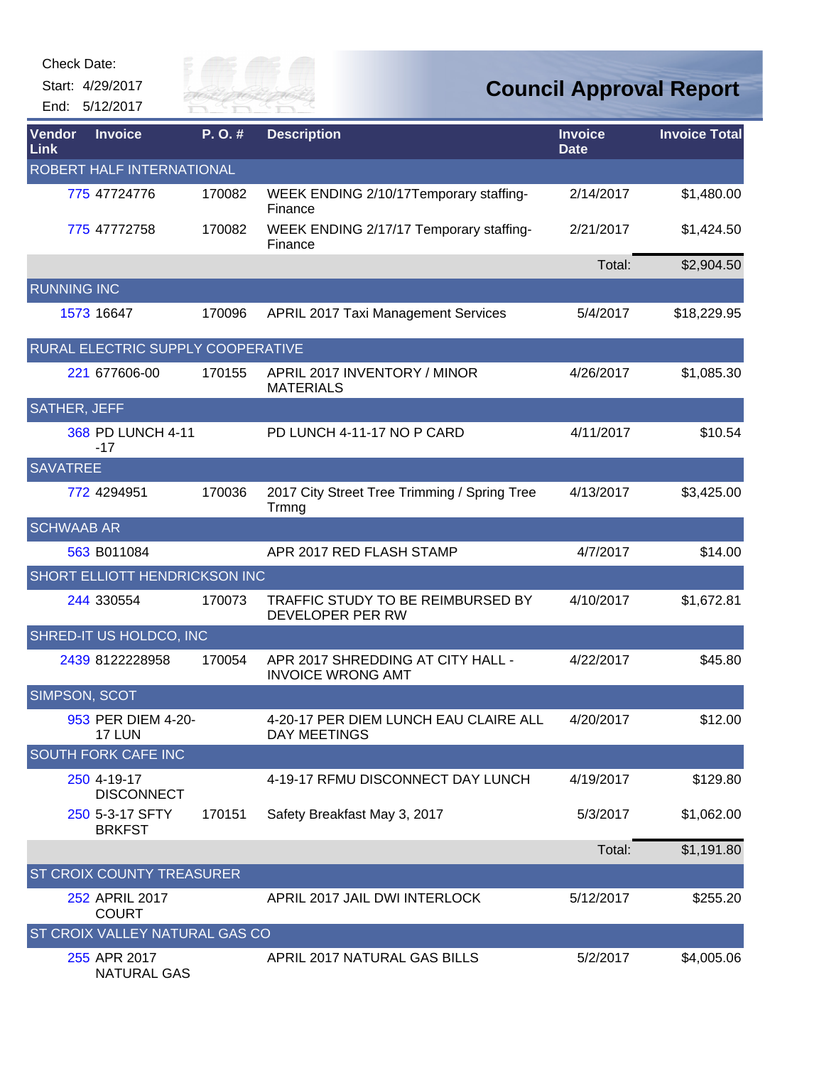Start: 4/29/2017

End: 5/12/2017



| Vendor<br>Link            | <b>Invoice</b>                       | P.O.#  | <b>Description</b>                                            | <b>Invoice</b><br><b>Date</b> | <b>Invoice Total</b> |  |  |
|---------------------------|--------------------------------------|--------|---------------------------------------------------------------|-------------------------------|----------------------|--|--|
| ROBERT HALF INTERNATIONAL |                                      |        |                                                               |                               |                      |  |  |
|                           | 775 47724776                         | 170082 | WEEK ENDING 2/10/17Temporary staffing-<br>Finance             | 2/14/2017                     | \$1,480.00           |  |  |
|                           | 775 47772758                         | 170082 | WEEK ENDING 2/17/17 Temporary staffing-<br>Finance            | 2/21/2017                     | \$1,424.50           |  |  |
|                           |                                      |        |                                                               | Total:                        | \$2,904.50           |  |  |
| <b>RUNNING INC</b>        |                                      |        |                                                               |                               |                      |  |  |
|                           | 1573 16647                           | 170096 | <b>APRIL 2017 Taxi Management Services</b>                    | 5/4/2017                      | \$18,229.95          |  |  |
|                           | RURAL ELECTRIC SUPPLY COOPERATIVE    |        |                                                               |                               |                      |  |  |
|                           | 221 677606-00                        | 170155 | APRIL 2017 INVENTORY / MINOR<br><b>MATERIALS</b>              | 4/26/2017                     | \$1,085.30           |  |  |
| <b>SATHER, JEFF</b>       |                                      |        |                                                               |                               |                      |  |  |
|                           | 368 PD LUNCH 4-11<br>$-17$           |        | PD LUNCH 4-11-17 NO P CARD                                    | 4/11/2017                     | \$10.54              |  |  |
| <b>SAVATREE</b>           |                                      |        |                                                               |                               |                      |  |  |
|                           | 772 4294951                          | 170036 | 2017 City Street Tree Trimming / Spring Tree<br>Trmng         | 4/13/2017                     | \$3,425.00           |  |  |
| <b>SCHWAAB AR</b>         |                                      |        |                                                               |                               |                      |  |  |
|                           | 563 B011084                          |        | APR 2017 RED FLASH STAMP                                      | 4/7/2017                      | \$14.00              |  |  |
|                           | <b>SHORT ELLIOTT HENDRICKSON INC</b> |        |                                                               |                               |                      |  |  |
|                           | 244 330554                           | 170073 | TRAFFIC STUDY TO BE REIMBURSED BY<br>DEVELOPER PER RW         | 4/10/2017                     | \$1,672.81           |  |  |
|                           | SHRED-IT US HOLDCO, INC              |        |                                                               |                               |                      |  |  |
|                           | 2439 8122228958                      | 170054 | APR 2017 SHREDDING AT CITY HALL -<br><b>INVOICE WRONG AMT</b> | 4/22/2017                     | \$45.80              |  |  |
| <b>SIMPSON, SCOT</b>      |                                      |        |                                                               |                               |                      |  |  |
|                           | 953 PER DIEM 4-20-<br>17 LUN         |        | 4-20-17 PER DIEM LUNCH EAU CLAIRE ALL<br><b>DAY MEETINGS</b>  | 4/20/2017                     | \$12.00              |  |  |
|                           | <b>SOUTH FORK CAFE INC</b>           |        |                                                               |                               |                      |  |  |
|                           | 250 4-19-17<br><b>DISCONNECT</b>     |        | 4-19-17 RFMU DISCONNECT DAY LUNCH                             | 4/19/2017                     | \$129.80             |  |  |
|                           | 250 5-3-17 SFTY<br><b>BRKFST</b>     | 170151 | Safety Breakfast May 3, 2017                                  | 5/3/2017                      | \$1,062.00           |  |  |
|                           |                                      |        |                                                               | Total:                        | \$1,191.80           |  |  |
|                           | <b>ST CROIX COUNTY TREASURER</b>     |        |                                                               |                               |                      |  |  |
|                           | 252 APRIL 2017<br><b>COURT</b>       |        | APRIL 2017 JAIL DWI INTERLOCK                                 | 5/12/2017                     | \$255.20             |  |  |
|                           | ST CROIX VALLEY NATURAL GAS CO       |        |                                                               |                               |                      |  |  |
|                           | 255 APR 2017<br><b>NATURAL GAS</b>   |        | APRIL 2017 NATURAL GAS BILLS                                  | 5/2/2017                      | \$4,005.06           |  |  |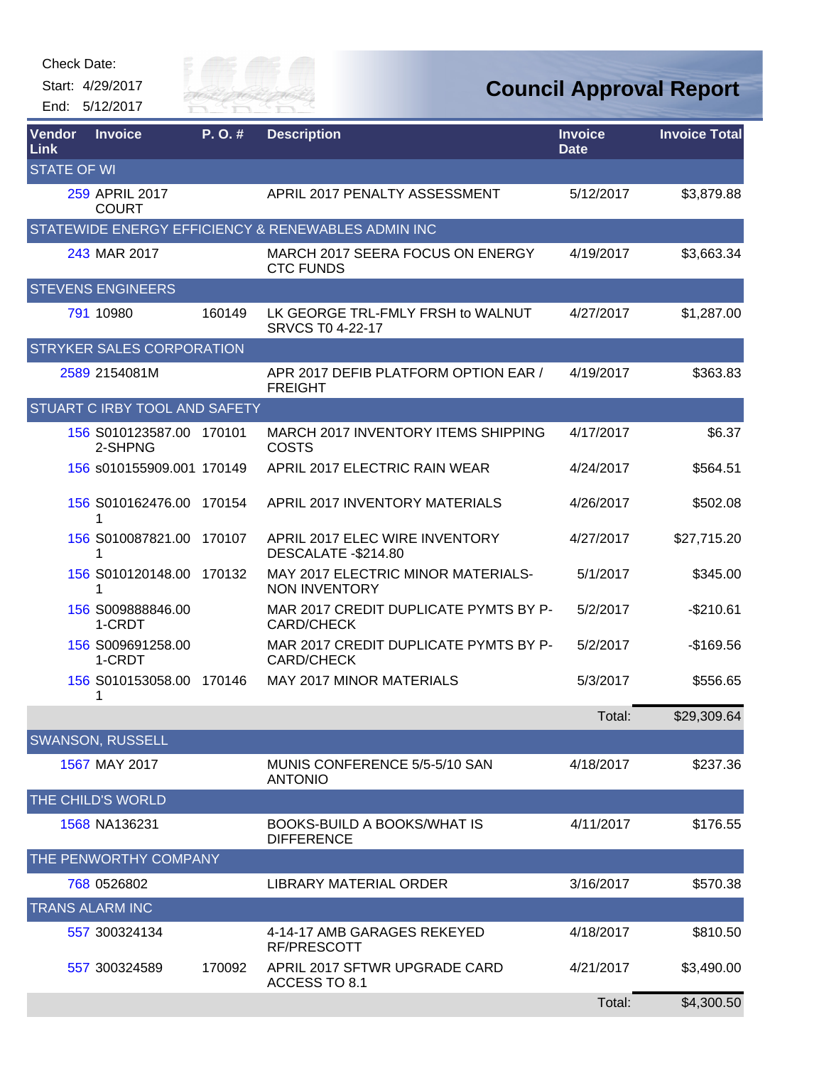| Check Date: |  |
|-------------|--|
|-------------|--|



| <b>Vendor</b><br>Link | <b>Invoice</b>                      | P.O.#  | <b>Description</b>                                         | <b>Invoice</b><br><b>Date</b> | <b>Invoice Total</b> |
|-----------------------|-------------------------------------|--------|------------------------------------------------------------|-------------------------------|----------------------|
| <b>STATE OF WI</b>    |                                     |        |                                                            |                               |                      |
|                       | 259 APRIL 2017<br><b>COURT</b>      |        | APRIL 2017 PENALTY ASSESSMENT                              | 5/12/2017                     | \$3,879.88           |
|                       |                                     |        | STATEWIDE ENERGY EFFICIENCY & RENEWABLES ADMIN INC         |                               |                      |
|                       | 243 MAR 2017                        |        | MARCH 2017 SEERA FOCUS ON ENERGY<br><b>CTC FUNDS</b>       | 4/19/2017                     | \$3,663.34           |
|                       | <b>STEVENS ENGINEERS</b>            |        |                                                            |                               |                      |
|                       | 791 10980                           | 160149 | LK GEORGE TRL-FMLY FRSH to WALNUT<br>SRVCS T0 4-22-17      | 4/27/2017                     | \$1,287.00           |
|                       | <b>STRYKER SALES CORPORATION</b>    |        |                                                            |                               |                      |
|                       | 2589 2154081M                       |        | APR 2017 DEFIB PLATFORM OPTION EAR /<br><b>FREIGHT</b>     | 4/19/2017                     | \$363.83             |
|                       | STUART C IRBY TOOL AND SAFETY       |        |                                                            |                               |                      |
|                       | 156 S010123587.00 170101<br>2-SHPNG |        | MARCH 2017 INVENTORY ITEMS SHIPPING<br><b>COSTS</b>        | 4/17/2017                     | \$6.37               |
|                       | 156 s010155909.001 170149           |        | APRIL 2017 ELECTRIC RAIN WEAR                              | 4/24/2017                     | \$564.51             |
|                       | 156 S010162476.00 170154<br>1       |        | APRIL 2017 INVENTORY MATERIALS                             | 4/26/2017                     | \$502.08             |
|                       | 156 S010087821.00<br>1              | 170107 | APRIL 2017 ELEC WIRE INVENTORY<br>DESCALATE -\$214.80      | 4/27/2017                     | \$27,715.20          |
|                       | 156 S010120148.00 170132<br>1       |        | MAY 2017 ELECTRIC MINOR MATERIALS-<br><b>NON INVENTORY</b> | 5/1/2017                      | \$345.00             |
|                       | 156 S009888846.00<br>1-CRDT         |        | MAR 2017 CREDIT DUPLICATE PYMTS BY P-<br><b>CARD/CHECK</b> | 5/2/2017                      | $-$210.61$           |
|                       | 156 S009691258.00<br>1-CRDT         |        | MAR 2017 CREDIT DUPLICATE PYMTS BY P-<br><b>CARD/CHECK</b> | 5/2/2017                      | $-$169.56$           |
|                       | 156 S010153058.00 170146<br>1       |        | <b>MAY 2017 MINOR MATERIALS</b>                            | 5/3/2017                      | \$556.65             |
|                       |                                     |        |                                                            | Total:                        | \$29,309.64          |
|                       | <b>SWANSON, RUSSELL</b>             |        |                                                            |                               |                      |
|                       | 1567 MAY 2017                       |        | MUNIS CONFERENCE 5/5-5/10 SAN<br><b>ANTONIO</b>            | 4/18/2017                     | \$237.36             |
|                       | THE CHILD'S WORLD                   |        |                                                            |                               |                      |
|                       | 1568 NA136231                       |        | BOOKS-BUILD A BOOKS/WHAT IS<br><b>DIFFERENCE</b>           | 4/11/2017                     | \$176.55             |
|                       | THE PENWORTHY COMPANY               |        |                                                            |                               |                      |
|                       | 768 0526802                         |        | LIBRARY MATERIAL ORDER                                     | 3/16/2017                     | \$570.38             |
|                       | <b>TRANS ALARM INC</b>              |        |                                                            |                               |                      |
|                       | 557 300324134                       |        | 4-14-17 AMB GARAGES REKEYED<br>RF/PRESCOTT                 | 4/18/2017                     | \$810.50             |
|                       | 557 300324589                       | 170092 | APRIL 2017 SFTWR UPGRADE CARD<br>ACCESS TO 8.1             | 4/21/2017                     | \$3,490.00           |
|                       |                                     |        |                                                            | Total:                        | \$4,300.50           |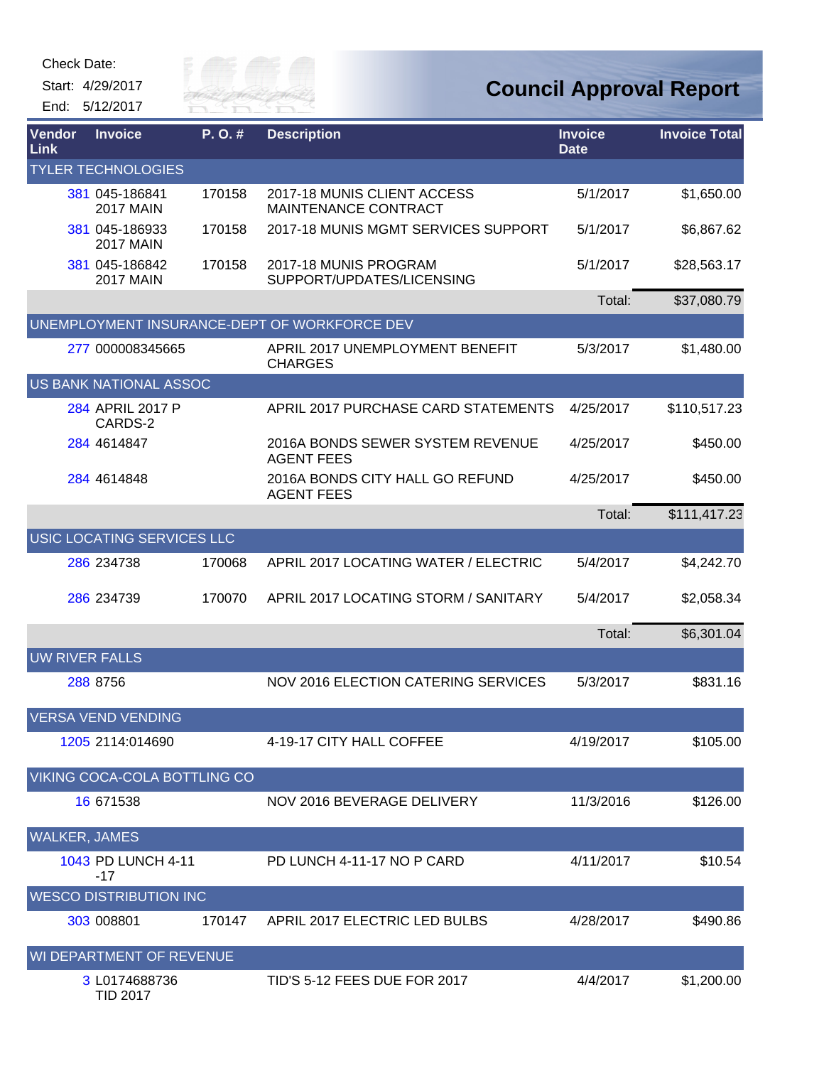| Check Date: |  |
|-------------|--|
|-------------|--|

Start: 4/29/2017

End: 5/12/2017



| Vendor<br>Link        | <b>Invoice</b>                     | P. O. # | <b>Description</b>                                    | <b>Invoice</b><br><b>Date</b> | <b>Invoice Total</b> |
|-----------------------|------------------------------------|---------|-------------------------------------------------------|-------------------------------|----------------------|
|                       | <b>TYLER TECHNOLOGIES</b>          |         |                                                       |                               |                      |
|                       | 381 045-186841<br><b>2017 MAIN</b> | 170158  | 2017-18 MUNIS CLIENT ACCESS<br>MAINTENANCE CONTRACT   | 5/1/2017                      | \$1,650.00           |
|                       | 381 045-186933<br><b>2017 MAIN</b> | 170158  | 2017-18 MUNIS MGMT SERVICES SUPPORT                   | 5/1/2017                      | \$6,867.62           |
|                       | 381 045-186842<br><b>2017 MAIN</b> | 170158  | 2017-18 MUNIS PROGRAM<br>SUPPORT/UPDATES/LICENSING    | 5/1/2017                      | \$28,563.17          |
|                       |                                    |         |                                                       | Total:                        | \$37,080.79          |
|                       |                                    |         | UNEMPLOYMENT INSURANCE-DEPT OF WORKFORCE DEV          |                               |                      |
|                       | 277 000008345665                   |         | APRIL 2017 UNEMPLOYMENT BENEFIT<br><b>CHARGES</b>     | 5/3/2017                      | \$1,480.00           |
|                       | US BANK NATIONAL ASSOC             |         |                                                       |                               |                      |
|                       | 284 APRIL 2017 P<br>CARDS-2        |         | APRIL 2017 PURCHASE CARD STATEMENTS                   | 4/25/2017                     | \$110,517.23         |
|                       | 284 4614847                        |         | 2016A BONDS SEWER SYSTEM REVENUE<br><b>AGENT FEES</b> | 4/25/2017                     | \$450.00             |
|                       | 284 4614848                        |         | 2016A BONDS CITY HALL GO REFUND<br><b>AGENT FEES</b>  | 4/25/2017                     | \$450.00             |
|                       |                                    |         |                                                       | Total:                        | \$111,417.23         |
|                       | USIC LOCATING SERVICES LLC         |         |                                                       |                               |                      |
|                       | 286 234738                         | 170068  | APRIL 2017 LOCATING WATER / ELECTRIC                  | 5/4/2017                      | \$4,242.70           |
|                       | 286 234739                         | 170070  | APRIL 2017 LOCATING STORM / SANITARY                  | 5/4/2017                      | \$2,058.34           |
|                       |                                    |         |                                                       | Total:                        | \$6,301.04           |
| <b>UW RIVER FALLS</b> |                                    |         |                                                       |                               |                      |
|                       | 288 8756                           |         | <b>NOV 2016 ELECTION CATERING SERVICES</b>            | 5/3/2017                      | \$831.16             |
|                       | <b>VERSA VEND VENDING</b>          |         |                                                       |                               |                      |
|                       | 1205 2114:014690                   |         | 4-19-17 CITY HALL COFFEE                              | 4/19/2017                     | \$105.00             |
|                       | VIKING COCA-COLA BOTTLING CO       |         |                                                       |                               |                      |
|                       | 16 671538                          |         | NOV 2016 BEVERAGE DELIVERY                            | 11/3/2016                     | \$126.00             |
| <b>WALKER, JAMES</b>  |                                    |         |                                                       |                               |                      |
|                       | 1043 PD LUNCH 4-11<br>-17          |         | PD LUNCH 4-11-17 NO P CARD                            | 4/11/2017                     | \$10.54              |
|                       | <b>WESCO DISTRIBUTION INC</b>      |         |                                                       |                               |                      |
|                       | 303 008801                         | 170147  | APRIL 2017 ELECTRIC LED BULBS                         | 4/28/2017                     | \$490.86             |
|                       | WI DEPARTMENT OF REVENUE           |         |                                                       |                               |                      |
|                       | 3 L0174688736<br><b>TID 2017</b>   |         | TID'S 5-12 FEES DUE FOR 2017                          | 4/4/2017                      | \$1,200.00           |